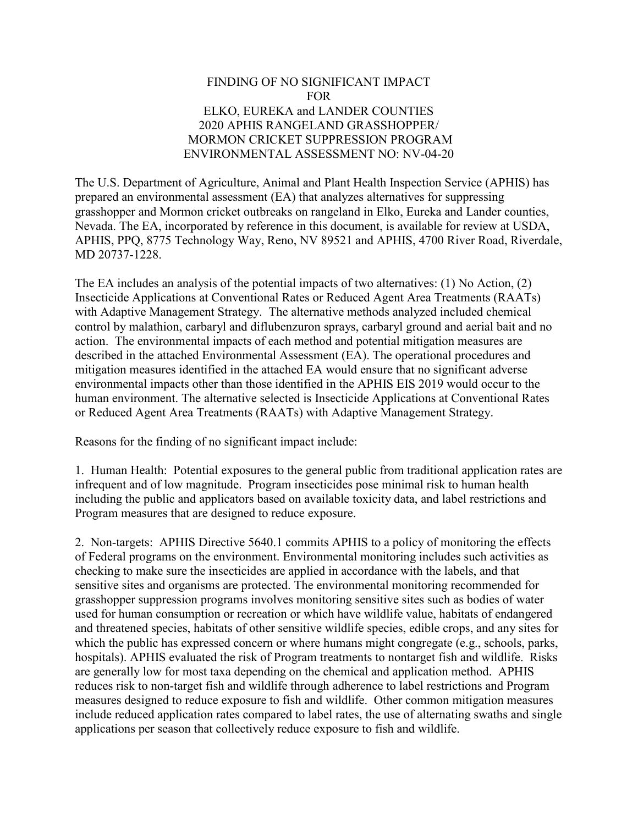## FINDING OF NO SIGNIFICANT IMPACT FOR ELKO, EUREKA and LANDER COUNTIES 2020 APHIS RANGELAND GRASSHOPPER/ MORMON CRICKET SUPPRESSION PROGRAM ENVIRONMENTAL ASSESSMENT NO: NV-04-20

The U.S. Department of Agriculture, Animal and Plant Health Inspection Service (APHIS) has prepared an environmental assessment (EA) that analyzes alternatives for suppressing grasshopper and Mormon cricket outbreaks on rangeland in Elko, Eureka and Lander counties, Nevada. The EA, incorporated by reference in this document, is available for review at USDA, APHIS, PPQ, 8775 Technology Way, Reno, NV 89521 and APHIS, 4700 River Road, Riverdale, MD 20737-1228.

The EA includes an analysis of the potential impacts of two alternatives: (1) No Action, (2) Insecticide Applications at Conventional Rates or Reduced Agent Area Treatments (RAATs) with Adaptive Management Strategy. The alternative methods analyzed included chemical control by malathion, carbaryl and diflubenzuron sprays, carbaryl ground and aerial bait and no action. The environmental impacts of each method and potential mitigation measures are described in the attached Environmental Assessment (EA). The operational procedures and mitigation measures identified in the attached EA would ensure that no significant adverse environmental impacts other than those identified in the APHIS EIS 2019 would occur to the human environment. The alternative selected is Insecticide Applications at Conventional Rates or Reduced Agent Area Treatments (RAATs) with Adaptive Management Strategy.

Reasons for the finding of no significant impact include:

1. Human Health: Potential exposures to the general public from traditional application rates are infrequent and of low magnitude. Program insecticides pose minimal risk to human health including the public and applicators based on available toxicity data, and label restrictions and Program measures that are designed to reduce exposure.

2. Non-targets: APHIS Directive 5640.1 commits APHIS to a policy of monitoring the effects of Federal programs on the environment. Environmental monitoring includes such activities as checking to make sure the insecticides are applied in accordance with the labels, and that sensitive sites and organisms are protected. The environmental monitoring recommended for grasshopper suppression programs involves monitoring sensitive sites such as bodies of water used for human consumption or recreation or which have wildlife value, habitats of endangered and threatened species, habitats of other sensitive wildlife species, edible crops, and any sites for which the public has expressed concern or where humans might congregate (e.g., schools, parks, hospitals). APHIS evaluated the risk of Program treatments to nontarget fish and wildlife. Risks are generally low for most taxa depending on the chemical and application method. APHIS reduces risk to non-target fish and wildlife through adherence to label restrictions and Program measures designed to reduce exposure to fish and wildlife. Other common mitigation measures include reduced application rates compared to label rates, the use of alternating swaths and single applications per season that collectively reduce exposure to fish and wildlife.